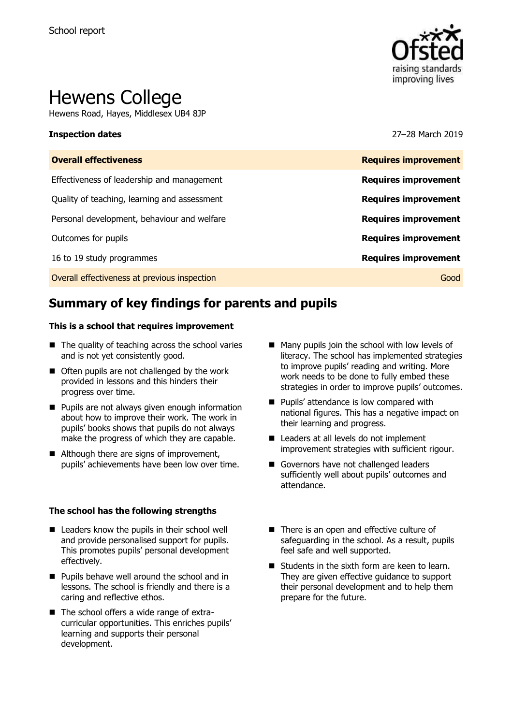

# Hewens College

Hewens Road, Hayes, Middlesex UB4 8JP

### **Inspection dates** 27–28 March 2019

| <b>Overall effectiveness</b>                 | <b>Requires improvement</b> |
|----------------------------------------------|-----------------------------|
| Effectiveness of leadership and management   | <b>Requires improvement</b> |
| Quality of teaching, learning and assessment | <b>Requires improvement</b> |
| Personal development, behaviour and welfare  | <b>Requires improvement</b> |
| Outcomes for pupils                          | <b>Requires improvement</b> |
| 16 to 19 study programmes                    | <b>Requires improvement</b> |
| Overall effectiveness at previous inspection | Good                        |

# **Summary of key findings for parents and pupils**

### **This is a school that requires improvement**

- $\blacksquare$  The quality of teaching across the school varies and is not yet consistently good.
- Often pupils are not challenged by the work provided in lessons and this hinders their progress over time.
- **Pupils are not always given enough information** about how to improve their work. The work in pupils' books shows that pupils do not always make the progress of which they are capable.
- Although there are signs of improvement, pupils' achievements have been low over time.

### **The school has the following strengths**

- Leaders know the pupils in their school well and provide personalised support for pupils. This promotes pupils' personal development effectively.
- **Pupils behave well around the school and in** lessons. The school is friendly and there is a caring and reflective ethos.
- The school offers a wide range of extracurricular opportunities. This enriches pupils' learning and supports their personal development.
- $\blacksquare$  Many pupils join the school with low levels of literacy. The school has implemented strategies to improve pupils' reading and writing. More work needs to be done to fully embed these strategies in order to improve pupils' outcomes.
- **Pupils' attendance is low compared with** national figures. This has a negative impact on their learning and progress.
- Leaders at all levels do not implement improvement strategies with sufficient rigour.
- Governors have not challenged leaders sufficiently well about pupils' outcomes and attendance.
- There is an open and effective culture of safeguarding in the school. As a result, pupils feel safe and well supported.
- $\blacksquare$  Students in the sixth form are keen to learn. They are given effective guidance to support their personal development and to help them prepare for the future.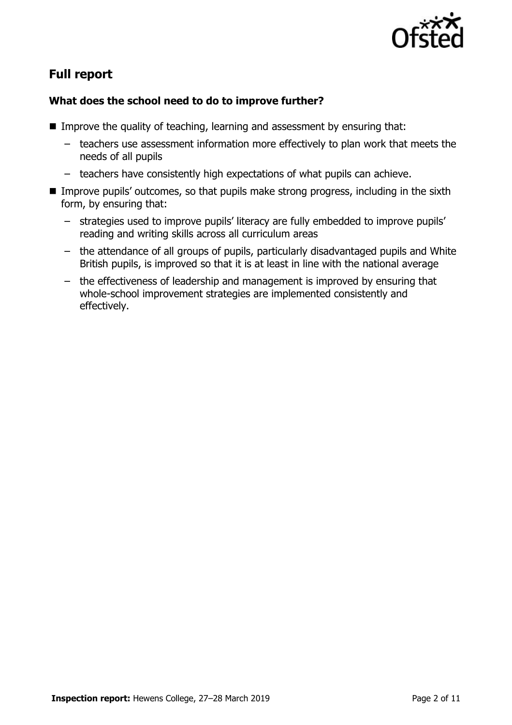

# **Full report**

# **What does the school need to do to improve further?**

- Improve the quality of teaching, learning and assessment by ensuring that:
	- teachers use assessment information more effectively to plan work that meets the needs of all pupils
	- teachers have consistently high expectations of what pupils can achieve.
- Improve pupils' outcomes, so that pupils make strong progress, including in the sixth form, by ensuring that:
	- strategies used to improve pupils' literacy are fully embedded to improve pupils' reading and writing skills across all curriculum areas
	- the attendance of all groups of pupils, particularly disadvantaged pupils and White British pupils, is improved so that it is at least in line with the national average
	- the effectiveness of leadership and management is improved by ensuring that whole-school improvement strategies are implemented consistently and effectively.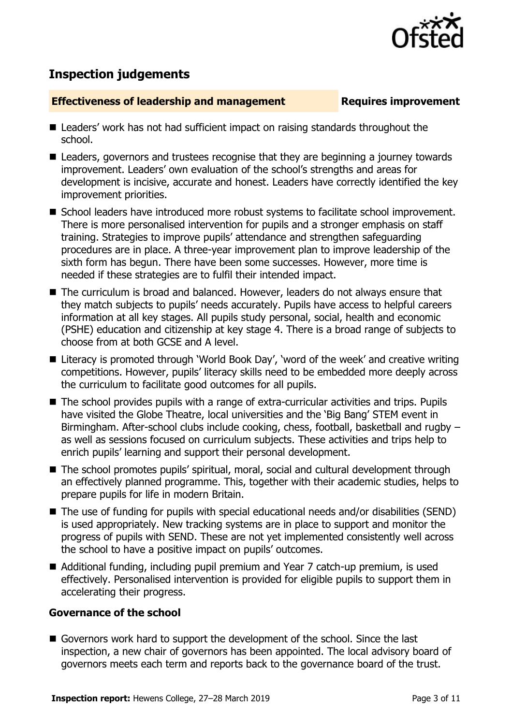

# **Inspection judgements**

### **Effectiveness of leadership and management Requires improvement**

- Leaders' work has not had sufficient impact on raising standards throughout the school.
- Leaders, governors and trustees recognise that they are beginning a journey towards improvement. Leaders' own evaluation of the school's strengths and areas for development is incisive, accurate and honest. Leaders have correctly identified the key improvement priorities.
- School leaders have introduced more robust systems to facilitate school improvement. There is more personalised intervention for pupils and a stronger emphasis on staff training. Strategies to improve pupils' attendance and strengthen safeguarding procedures are in place. A three-year improvement plan to improve leadership of the sixth form has begun. There have been some successes. However, more time is needed if these strategies are to fulfil their intended impact.
- The curriculum is broad and balanced. However, leaders do not always ensure that they match subjects to pupils' needs accurately. Pupils have access to helpful careers information at all key stages. All pupils study personal, social, health and economic (PSHE) education and citizenship at key stage 4. There is a broad range of subjects to choose from at both GCSE and A level.
- Literacy is promoted through 'World Book Day', 'word of the week' and creative writing competitions. However, pupils' literacy skills need to be embedded more deeply across the curriculum to facilitate good outcomes for all pupils.
- The school provides pupils with a range of extra-curricular activities and trips. Pupils have visited the Globe Theatre, local universities and the 'Big Bang' STEM event in Birmingham. After-school clubs include cooking, chess, football, basketball and rugby – as well as sessions focused on curriculum subjects. These activities and trips help to enrich pupils' learning and support their personal development.
- The school promotes pupils' spiritual, moral, social and cultural development through an effectively planned programme. This, together with their academic studies, helps to prepare pupils for life in modern Britain.
- The use of funding for pupils with special educational needs and/or disabilities (SEND) is used appropriately. New tracking systems are in place to support and monitor the progress of pupils with SEND. These are not yet implemented consistently well across the school to have a positive impact on pupils' outcomes.
- Additional funding, including pupil premium and Year 7 catch-up premium, is used effectively. Personalised intervention is provided for eligible pupils to support them in accelerating their progress.

# **Governance of the school**

Governors work hard to support the development of the school. Since the last inspection, a new chair of governors has been appointed. The local advisory board of governors meets each term and reports back to the governance board of the trust.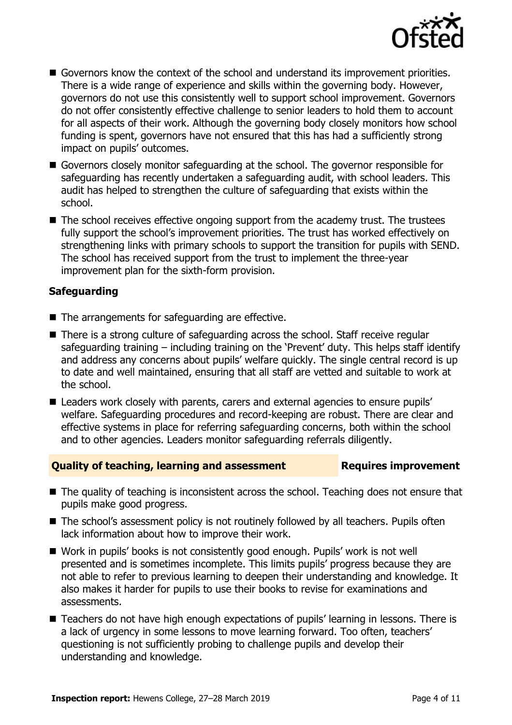

- Governors know the context of the school and understand its improvement priorities. There is a wide range of experience and skills within the governing body. However, governors do not use this consistently well to support school improvement. Governors do not offer consistently effective challenge to senior leaders to hold them to account for all aspects of their work. Although the governing body closely monitors how school funding is spent, governors have not ensured that this has had a sufficiently strong impact on pupils' outcomes.
- Governors closely monitor safeguarding at the school. The governor responsible for safeguarding has recently undertaken a safeguarding audit, with school leaders. This audit has helped to strengthen the culture of safeguarding that exists within the school.
- The school receives effective ongoing support from the academy trust. The trustees fully support the school's improvement priorities. The trust has worked effectively on strengthening links with primary schools to support the transition for pupils with SEND. The school has received support from the trust to implement the three-year improvement plan for the sixth-form provision.

# **Safeguarding**

- $\blacksquare$  The arrangements for safeguarding are effective.
- There is a strong culture of safeguarding across the school. Staff receive regular safeguarding training  $-$  including training on the 'Prevent' duty. This helps staff identify and address any concerns about pupils' welfare quickly. The single central record is up to date and well maintained, ensuring that all staff are vetted and suitable to work at the school.
- Leaders work closely with parents, carers and external agencies to ensure pupils' welfare. Safeguarding procedures and record-keeping are robust. There are clear and effective systems in place for referring safeguarding concerns, both within the school and to other agencies. Leaders monitor safeguarding referrals diligently.

### **Quality of teaching, learning and assessment Requires improvement**

- The quality of teaching is inconsistent across the school. Teaching does not ensure that pupils make good progress.
- The school's assessment policy is not routinely followed by all teachers. Pupils often lack information about how to improve their work.
- Work in pupils' books is not consistently good enough. Pupils' work is not well presented and is sometimes incomplete. This limits pupils' progress because they are not able to refer to previous learning to deepen their understanding and knowledge. It also makes it harder for pupils to use their books to revise for examinations and assessments.
- Teachers do not have high enough expectations of pupils' learning in lessons. There is a lack of urgency in some lessons to move learning forward. Too often, teachers' questioning is not sufficiently probing to challenge pupils and develop their understanding and knowledge.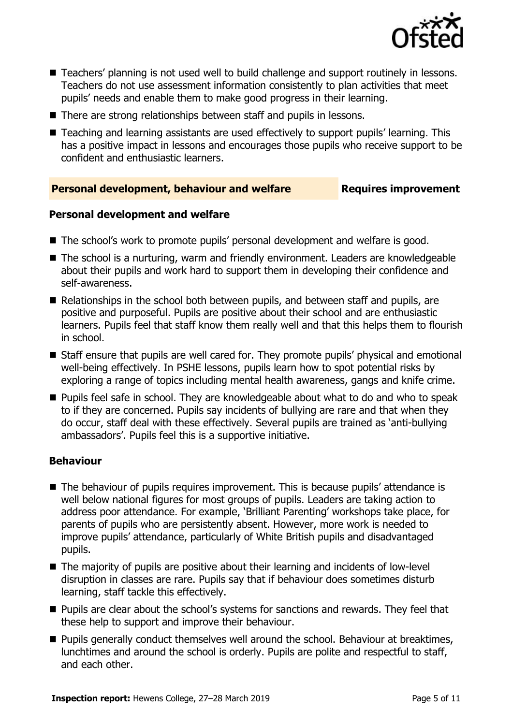

- Teachers' planning is not used well to build challenge and support routinely in lessons. Teachers do not use assessment information consistently to plan activities that meet pupils' needs and enable them to make good progress in their learning.
- There are strong relationships between staff and pupils in lessons.
- Teaching and learning assistants are used effectively to support pupils' learning. This has a positive impact in lessons and encourages those pupils who receive support to be confident and enthusiastic learners.

# **Personal development, behaviour and welfare Fig. 2.1 Requires improvement**

# **Personal development and welfare**

- The school's work to promote pupils' personal development and welfare is good.
- The school is a nurturing, warm and friendly environment. Leaders are knowledgeable about their pupils and work hard to support them in developing their confidence and self-awareness.
- Relationships in the school both between pupils, and between staff and pupils, are positive and purposeful. Pupils are positive about their school and are enthusiastic learners. Pupils feel that staff know them really well and that this helps them to flourish in school.
- Staff ensure that pupils are well cared for. They promote pupils' physical and emotional well-being effectively. In PSHE lessons, pupils learn how to spot potential risks by exploring a range of topics including mental health awareness, gangs and knife crime.
- **Pupils feel safe in school. They are knowledgeable about what to do and who to speak** to if they are concerned. Pupils say incidents of bullying are rare and that when they do occur, staff deal with these effectively. Several pupils are trained as 'anti-bullying ambassadors'. Pupils feel this is a supportive initiative.

# **Behaviour**

- The behaviour of pupils requires improvement. This is because pupils' attendance is well below national figures for most groups of pupils. Leaders are taking action to address poor attendance. For example, 'Brilliant Parenting' workshops take place, for parents of pupils who are persistently absent. However, more work is needed to improve pupils' attendance, particularly of White British pupils and disadvantaged pupils.
- The majority of pupils are positive about their learning and incidents of low-level disruption in classes are rare. Pupils say that if behaviour does sometimes disturb learning, staff tackle this effectively.
- **Pupils are clear about the school's systems for sanctions and rewards. They feel that** these help to support and improve their behaviour.
- Pupils generally conduct themselves well around the school. Behaviour at breaktimes, lunchtimes and around the school is orderly. Pupils are polite and respectful to staff, and each other.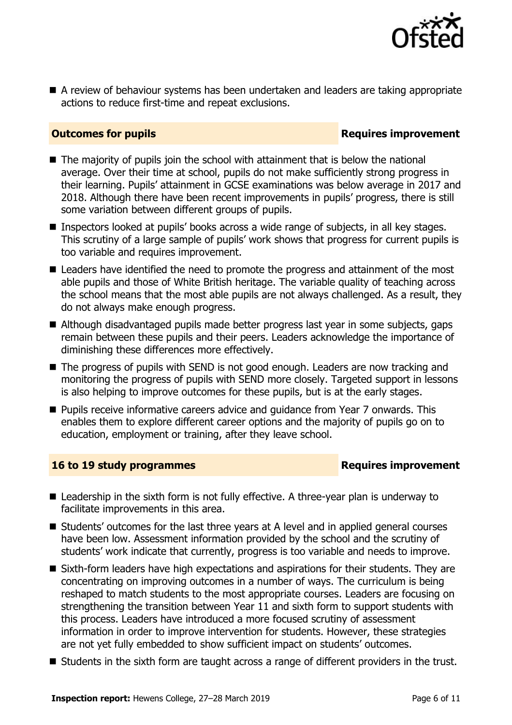

A review of behaviour systems has been undertaken and leaders are taking appropriate actions to reduce first-time and repeat exclusions.

## **Outcomes for pupils Requires improvement**

- $\blacksquare$  The majority of pupils join the school with attainment that is below the national average. Over their time at school, pupils do not make sufficiently strong progress in their learning. Pupils' attainment in GCSE examinations was below average in 2017 and 2018. Although there have been recent improvements in pupils' progress, there is still some variation between different groups of pupils.
- Inspectors looked at pupils' books across a wide range of subjects, in all key stages. This scrutiny of a large sample of pupils' work shows that progress for current pupils is too variable and requires improvement.
- Leaders have identified the need to promote the progress and attainment of the most able pupils and those of White British heritage. The variable quality of teaching across the school means that the most able pupils are not always challenged. As a result, they do not always make enough progress.
- Although disadvantaged pupils made better progress last year in some subjects, gaps remain between these pupils and their peers. Leaders acknowledge the importance of diminishing these differences more effectively.
- The progress of pupils with SEND is not good enough. Leaders are now tracking and monitoring the progress of pupils with SEND more closely. Targeted support in lessons is also helping to improve outcomes for these pupils, but is at the early stages.
- **Pupils receive informative careers advice and quidance from Year 7 onwards. This** enables them to explore different career options and the majority of pupils go on to education, employment or training, after they leave school.

### **16 to 19 study programmes Requires improvement**

- Leadership in the sixth form is not fully effective. A three-year plan is underway to facilitate improvements in this area.
- Students' outcomes for the last three years at A level and in applied general courses have been low. Assessment information provided by the school and the scrutiny of students' work indicate that currently, progress is too variable and needs to improve.
- Sixth-form leaders have high expectations and aspirations for their students. They are concentrating on improving outcomes in a number of ways. The curriculum is being reshaped to match students to the most appropriate courses. Leaders are focusing on strengthening the transition between Year 11 and sixth form to support students with this process. Leaders have introduced a more focused scrutiny of assessment information in order to improve intervention for students. However, these strategies are not yet fully embedded to show sufficient impact on students' outcomes.
- Students in the sixth form are taught across a range of different providers in the trust.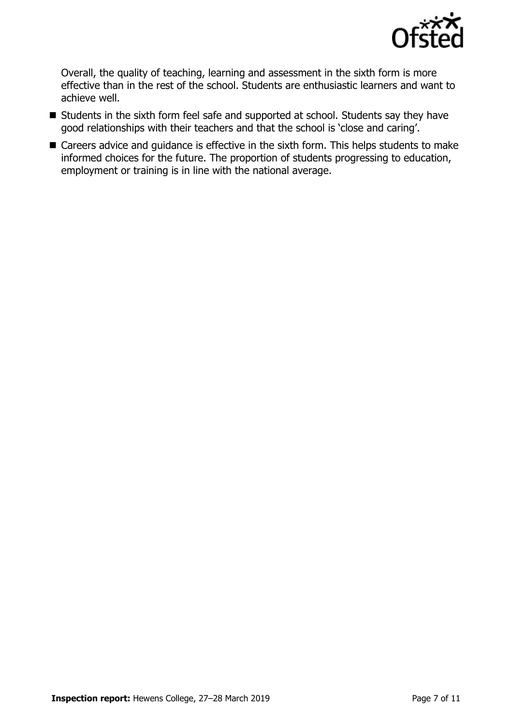

Overall, the quality of teaching, learning and assessment in the sixth form is more effective than in the rest of the school. Students are enthusiastic learners and want to achieve well.

- Students in the sixth form feel safe and supported at school. Students say they have good relationships with their teachers and that the school is 'close and caring'.
- Careers advice and guidance is effective in the sixth form. This helps students to make informed choices for the future. The proportion of students progressing to education, employment or training is in line with the national average.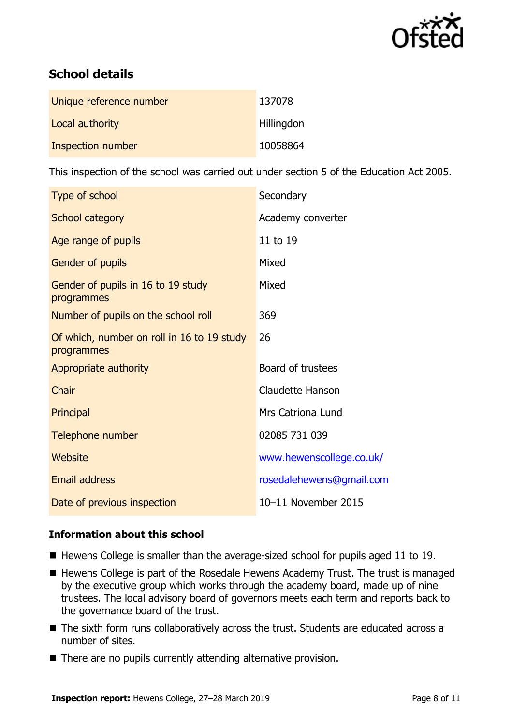

# **School details**

| Unique reference number | 137078            |
|-------------------------|-------------------|
| Local authority         | <b>Hillingdon</b> |
| Inspection number       | 10058864          |

This inspection of the school was carried out under section 5 of the Education Act 2005.

| Type of school                                           | Secondary                |
|----------------------------------------------------------|--------------------------|
| <b>School category</b>                                   | Academy converter        |
| Age range of pupils                                      | 11 to 19                 |
| <b>Gender of pupils</b>                                  | Mixed                    |
| Gender of pupils in 16 to 19 study<br>programmes         | Mixed                    |
| Number of pupils on the school roll                      | 369                      |
| Of which, number on roll in 16 to 19 study<br>programmes | 26                       |
| Appropriate authority                                    | Board of trustees        |
| Chair                                                    | <b>Claudette Hanson</b>  |
| Principal                                                | <b>Mrs Catriona Lund</b> |
| Telephone number                                         | 02085 731 039            |
| Website                                                  | www.hewenscollege.co.uk/ |
| <b>Email address</b>                                     | rosedalehewens@gmail.com |
| Date of previous inspection                              | 10-11 November 2015      |

# **Information about this school**

- $\blacksquare$  Hewens College is smaller than the average-sized school for pupils aged 11 to 19.
- Hewens College is part of the Rosedale Hewens Academy Trust. The trust is managed by the executive group which works through the academy board, made up of nine trustees. The local advisory board of governors meets each term and reports back to the governance board of the trust.
- The sixth form runs collaboratively across the trust. Students are educated across a number of sites.
- There are no pupils currently attending alternative provision.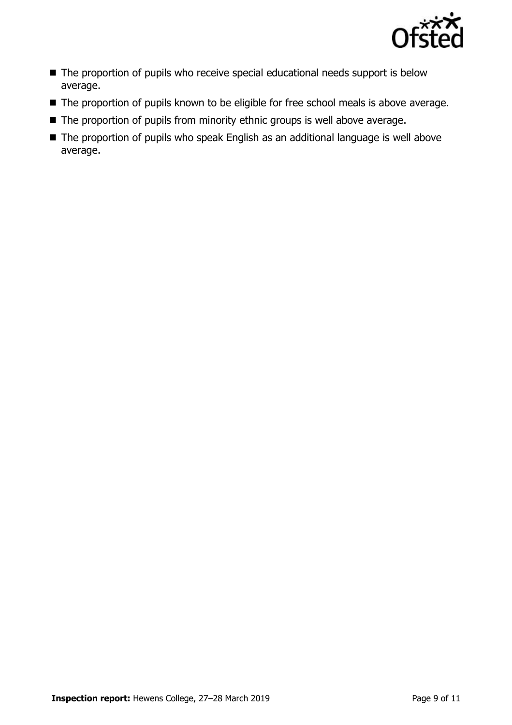

- The proportion of pupils who receive special educational needs support is below average.
- The proportion of pupils known to be eligible for free school meals is above average.
- The proportion of pupils from minority ethnic groups is well above average.
- The proportion of pupils who speak English as an additional language is well above average.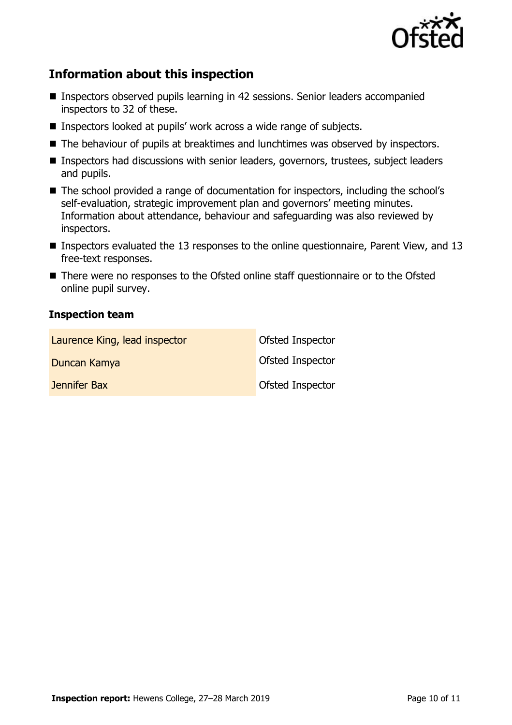

# **Information about this inspection**

- Inspectors observed pupils learning in 42 sessions. Senior leaders accompanied inspectors to 32 of these.
- Inspectors looked at pupils' work across a wide range of subjects.
- The behaviour of pupils at breaktimes and lunchtimes was observed by inspectors.
- Inspectors had discussions with senior leaders, governors, trustees, subject leaders and pupils.
- The school provided a range of documentation for inspectors, including the school's self-evaluation, strategic improvement plan and governors' meeting minutes. Information about attendance, behaviour and safeguarding was also reviewed by inspectors.
- Inspectors evaluated the 13 responses to the online questionnaire, Parent View, and 13 free-text responses.
- There were no responses to the Ofsted online staff questionnaire or to the Ofsted online pupil survey.

### **Inspection team**

| Laurence King, lead inspector | Ofsted Inspector        |
|-------------------------------|-------------------------|
| Duncan Kamya                  | <b>Ofsted Inspector</b> |
| Jennifer Bax                  | <b>Ofsted Inspector</b> |